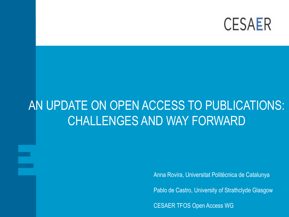

### AN UPDATE ON OPEN ACCESS TO PUBLICATIONS: CHALLENGES AND WAY FORWARD

Anna Rovira, Universitat Politècnica de Catalunya

Pablo de Castro, University of Strathclyde Glasgow

CESAER TFOS Open Access WG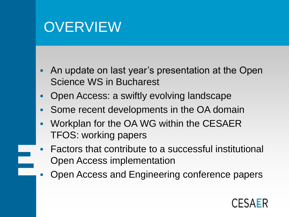### **OVERVIEW**

- An update on last year's presentation at the Open Science WS in Bucharest
- Open Access: a swiftly evolving landscape
- Some recent developments in the OA domain
- **Workplan for the OA WG within the CESAER** TFOS: working papers
- **Factors that contribute to a successful institutional** Open Access implementation
- Open Access and Engineering conference papers

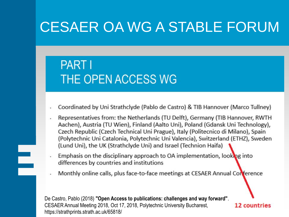### CESAER OA WG A STABLE FORUM

### **PART I** THE OPEN ACCESS WG

E

- Coordinated by Uni Strathclyde (Pablo de Castro) & TIB Hannover (Marco Tullney)
- Representatives from: the Netherlands (TU Delft), Germany (TIB Hannover, RWTH Aachen), Austria (TU Wien), Finland (Aalto Uni), Poland (Gdansk Uni Technology), Czech Republic (Czech Technical Uni Prague), Italy (Politecnico di Milano), Spain (Polytechnic Uni Catalonia, Polytechnic Uni Valencia), Switzerland (ETHZ), Sweden (Lund Uni), the UK (Strathclyde Uni) and Israel (Technion Haifa)
- Emphasis on the disciplinary approach to OA implementation, looking into differences by countries and institutions
- Monthly online calls, plus face-to-face meetings at CESAER Annual Conference

De Castro, Pablo (2018) **"Open Access to publications: challenges and way forward"**. CESAER Annual Meeting 2018, Oct 17, 2018, Polytechnic University Bucharest, https://strathprints.strath.ac.uk/65818/

12 countries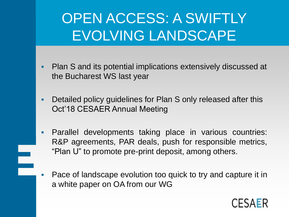## OPEN ACCESS: A SWIFTLY EVOLVING LANDSCAPE

- **Plan S and its potential implications extensively discussed at** the Bucharest WS last year
- Detailed policy guidelines for Plan S only released after this Oct'18 CESAER Annual Meeting
- **Parallel developments taking place in various countries:** R&P agreements, PAR deals, push for responsible metrics, "Plan U" to promote pre-print deposit, among others.

 Pace of landscape evolution too quick to try and capture it in a white paper on OA from our WG

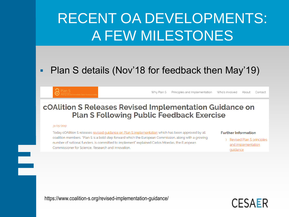### • Plan S details (Nov'18 for feedback then May'19)

Why Plan S Principles and Implementation Who's involved About Contact

### cOAlition S Releases Revised Implementation Guidance on **Plan S Following Public Feedback Exercise**

#### 31/05/2019

 $\equiv$ 

Today cOAlition S releases revised quidance on Plan S implementation which has been approved by all coalition members. "Plan S is a bold step forward which the European Commission, along with a growing number of national funders, is committed to implement" explained Carlos Moedas, the European Commissioner for Science, Research and Innovation.

#### **Further Information**

**Revised Plan S principles**  $\sum$ and implementation guidance

https://www.coalition-s.org/revised-implementation-guidance/

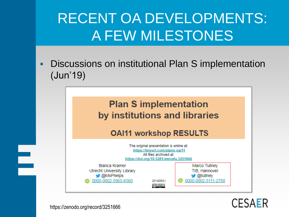Discussions on institutional Plan S implementation (Jun'19)

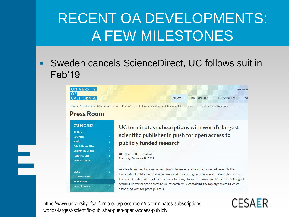### Sweden cancels ScienceDirect, UC follows suit in Feb'19



https://www.universityofcalifornia.edu/press-room/uc-terminates-subscriptionsworlds-largest-scientific-publisher-push-open-access-publicly

 $\equiv$ 

### **CESAER**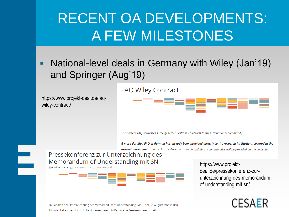**National-level deals in Germany with Wiley (Jan'19)** and Springer (Aug'19)

### **FAQ Wiley Contract**

https://www.projekt-deal.de/faqwiley-contract/



The present FAQ addresses some general questions of interest to the international community.

A more detailed FAQ in German has already been provided directly to the research institutions covered in the nresent asreement. Undates for the German research and library communities will be provided on the dedicated

### Pressekonferenz zur Unterzeichnung des Memorandum of Understanding mit SN

& Gottfried Haufe (4) 26. August 2019 Comments Off

 $\equiv$ 



https://www.projektdeal.de/pressekonferenz-zurunterzeichnung-des-memorandumof-understanding-mit-sn/

### **CESAER**

Im Rahmen der Unterzeichnung des Memorandum of Understanding (MoU) am 22. August fand in den Räumlichkeiten der Hochschulrektorenkonferenz in Berlin eine Pressekonferenz statt.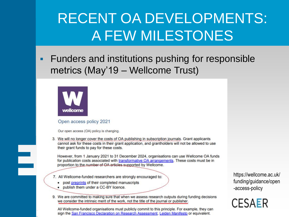**Funders and institutions pushing for responsible** metrics (May'19 – Wellcome Trust)



 $\equiv$ 

#### Open access policy 2021

Our open access (OA) policy is changing.

3. We will no longer cover the costs of OA publishing in subscription journals. Grant applicants cannot ask for these costs in their grant application, and grantholders will not be allowed to use their grant funds to pay for these costs.

However, from 1 January 2021 to 31 December 2024, organisations can use Wellcome OA funds for publication costs associated with transformative OA arrangements. These costs must be in proportion to the number of OA articles supported by Wellcome.

- 7. All Wellcome-funded researchers are strongly encouraged to:
	- post preprints of their completed manuscripts
	- publish them under a CC-BY licence.
- 9. We are committed to making sure that when we assess research outputs during funding decisions we consider the intrinsic merit of the work, not the title of the journal or publisher.

All Wellcome-funded organisations must publicly commit to this principle. For example, they can sign the San Francisco Declaration on Research Assessment, Leiden Manifesto or equivalent.

https://wellcome.ac.uk/ funding/guidance/open -access-policy

**CESAER**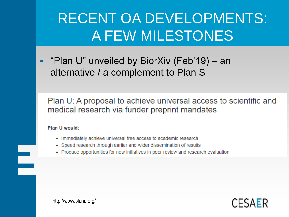**• "Plan U" unveiled by BiorXiv (Feb'19) – an** alternative / a complement to Plan S

Plan U: A proposal to achieve universal access to scientific and medical research via funder preprint mandates

#### Plan U would:

 $\equiv$ 

- Immediately achieve universal free access to academic research
- Speed research through earlier and wider dissemination of results
- Produce opportunities for new initiatives in peer review and research evaluation



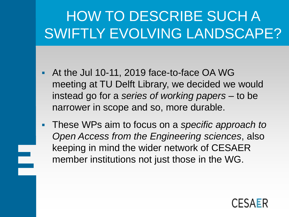# HOW TO DESCRIBE SUCH A SWIFTLY EVOLVING LANDSCAPE?

- At the Jul 10-11, 2019 face-to-face OA WG meeting at TU Delft Library, we decided we would instead go for a *series of working papers* – to be narrower in scope and so, more durable.
- These WPs aim to focus on a *specific approach to Open Access from the Engineering sciences*, also keeping in mind the wider network of CESAER member institutions not just those in the WG.

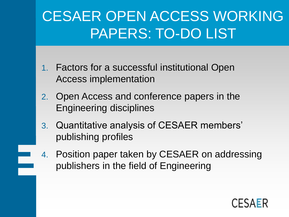# CESAER OPEN ACCESS WORKING PAPERS: TO-DO LIST

- 1. Factors for a successful institutional Open Access implementation
- 2. Open Access and conference papers in the Engineering disciplines
- 3. Quantitative analysis of CESAER members' publishing profiles
- 4. Position paper taken by CESAER on addressing publishers in the field of Engineering

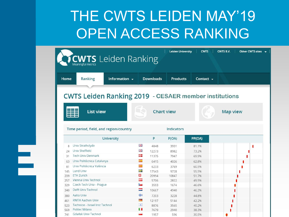## THE CWTS LEIDEN MAY'19 OPEN ACCESS RANKING

|            |                                                              |               |                                 | <b>Leiden University</b> | <b>CWTS</b>    | <b>CWTS B.V.</b> | Other CWTS sites $\rightarrow$ |
|------------|--------------------------------------------------------------|---------------|---------------------------------|--------------------------|----------------|------------------|--------------------------------|
|            | <b>CWTS</b> Leiden Ranking                                   |               |                                 |                          |                |                  |                                |
|            |                                                              |               |                                 |                          |                |                  |                                |
| Home       | Ranking                                                      | Information – | <b>Downloads</b>                | <b>Products</b>          | Contact $\sim$ |                  |                                |
|            |                                                              |               |                                 |                          |                |                  |                                |
|            |                                                              |               |                                 |                          |                |                  |                                |
|            | <b>CWTS Leiden Ranking 2019 - CESAER member institutions</b> |               |                                 |                          |                |                  |                                |
|            |                                                              |               |                                 |                          |                |                  |                                |
|            | <b>List view</b>                                             |               |                                 | <b>Chart view</b>        |                | <b>Map view</b>  |                                |
|            |                                                              |               |                                 |                          |                |                  |                                |
|            |                                                              |               |                                 |                          |                |                  |                                |
|            | Time period, field, and region/country                       |               |                                 | Indicators               |                |                  |                                |
|            |                                                              |               |                                 |                          |                |                  |                                |
|            |                                                              |               |                                 |                          |                |                  |                                |
|            |                                                              | University    | P                               | P(OA)                    | PP(OA)         |                  |                                |
| 8          | Univ Strathclyde                                             |               | 强度<br>4848                      | 3931                     | 81.1%          |                  |                                |
| 24         | Univ Sheffield                                               |               | 强<br>12273                      | 8982                     | 73.2%          |                  |                                |
| 31         | <b>Tech Univ Denmark</b>                                     |               | 92<br>11375                     | 7947                     | 69.9%          |                  |                                |
| 63         | Univ Politècnica Catalunya                                   |               | $\mathbb{R}^n$<br>6415          | 4026                     | 62.8%          |                  |                                |
| 81         | Univ Politècnica València                                    |               | $\overline{\mathbf{r}}$<br>6233 | 3769                     | 60.5%          |                  |                                |
| 145        | Lund Univ                                                    |               | ÷<br>17543                      | 9728                     | 55.5%          |                  |                                |
| 209        | <b>ETH Zurich</b>                                            |               | o<br>20994                      | 10847                    | 51.7%          |                  |                                |
| 257        | Vienna Univ Technol                                          |               | =<br>5706<br>b.                 | 2822                     | 49.5%          |                  |                                |
| 329        | Czech Tech Univ - Prague<br>Delft Univ Technol               |               | 3593<br>═                       | 1674                     | 46.6%          |                  |                                |
| 340        |                                                              |               | 10667                           | 4940                     | 46.3%          |                  |                                |
| 380        | Aalto Univ                                                   |               | ÷<br>7203                       | 3228                     | 44.8%          |                  |                                |
| 461        | <b>RWTH Aachen Univ</b>                                      |               | $\equiv$<br>12197               | 5144                     | 42.2%          |                  |                                |
| 523<br>569 | Technion - Israel Inst Technol<br>Politec Milano             |               | $\Phi$<br>8876<br>Ш<br>7679     | 3565<br>2940             | 40.2%<br>38.3% |                  |                                |

l.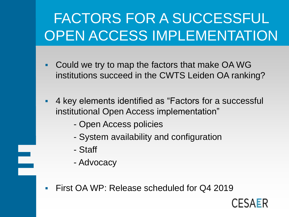# FACTORS FOR A SUCCESSFUL OPEN ACCESS IMPLEMENTATION

- Could we try to map the factors that make OA WG institutions succeed in the CWTS Leiden OA ranking?
- 4 key elements identified as "Factors for a successful institutional Open Access implementation"
	- Open Access policies
	- System availability and configuration
	- Staff

e<br>B

- Advocacy

First OA WP: Release scheduled for Q4 2019

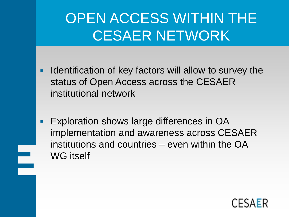## OPEN ACCESS WITHIN THE CESAER NETWORK

- Identification of key factors will allow to survey the status of Open Access across the CESAER institutional network
- **Exploration shows large differences in OA** implementation and awareness across CESAER institutions and countries – even within the OA WG itself

e<br>Barat

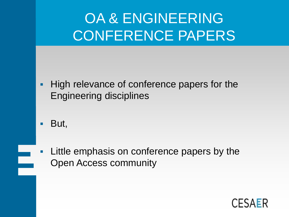# OA & ENGINEERING CONFERENCE PAPERS

- **High relevance of conference papers for the** Engineering disciplines
- But,
- Little emphasis on conference papers by the Open Access community

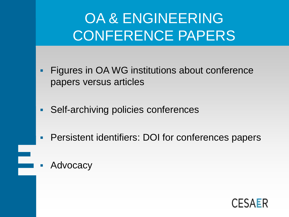# OA & ENGINEERING CONFERENCE PAPERS

- **Figures in OA WG institutions about conference** papers versus articles
- Self-archiving policies conferences
- **Persistent identifiers: DOI for conferences papers**
- Advocacy